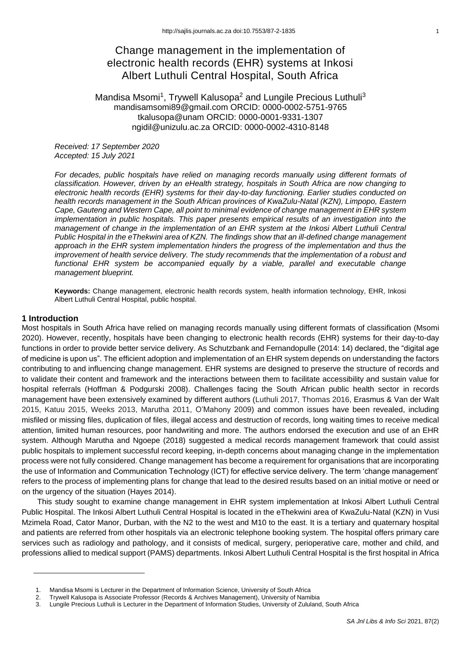# Change management in the implementation of electronic health records (EHR) systems at Inkosi Albert Luthuli Central Hospital, South Africa

# Mandisa Msomi<sup>1</sup>, Trywell Kalusopa<sup>2</sup> and Lungile Precious Luthuli<sup>3</sup> mandisamsomi89@gmail.com ORCID: 0000-0002-5751-9765 tkalusopa@unam ORCID: 0000-0001-9331-1307 ngidil@unizulu.ac.za ORCID: 0000-0002-4310-8148

*Received: 17 September 2020 Accepted: 15 July 2021*

*For decades, public hospitals have relied on managing records manually using different formats of classification. However, driven by an eHealth strategy, hospitals in South Africa are now changing to electronic health records (EHR) systems for their day-to-day functioning. Earlier studies conducted on health records management in the South African provinces of KwaZulu-Natal (KZN), Limpopo, Eastern Cape, Gauteng and Western Cape, all point to minimal evidence of change management in EHR system implementation in public hospitals. This paper presents empirical results of an investigation into the management of change in the implementation of an EHR system at the Inkosi Albert Luthuli Central Public Hospital in the eThekwini area of KZN. The findings show that an ill-defined change management approach in the EHR system implementation hinders the progress of the implementation and thus the improvement of health service delivery. The study recommends that the implementation of a robust and functional EHR system be accompanied equally by a viable, parallel and executable change management blueprint.* 

**Keywords:** Change management, electronic health records system, health information technology, EHR, Inkosi Albert Luthuli Central Hospital, public hospital.

### **1 Introduction**

Most hospitals in South Africa have relied on managing records manually using different formats of classification (Msomi 2020). However, recently, hospitals have been changing to electronic health records (EHR) systems for their day-to-day functions in order to provide better service delivery. As Schutzbank and Fernandopulle (2014: 14) declared, the "digital age of medicine is upon us". The efficient adoption and implementation of an EHR system depends on understanding the factors contributing to and influencing change management. EHR systems are designed to preserve the structure of records and to validate their content and framework and the interactions between them to facilitate accessibility and sustain value for hospital referrals (Hoffman & Podgurski 2008). Challenges facing the South African public health sector in records management have been extensively examined by different authors (Luthuli 2017, Thomas 2016, Erasmus & Van der Walt 2015, Katuu 2015, Weeks 2013, Marutha 2011, O'Mahony 2009) and common issues have been revealed, including misfiled or missing files, duplication of files, illegal access and destruction of records, long waiting times to receive medical attention, limited human resources, poor handwriting and more. The authors endorsed the execution and use of an EHR system. Although Marutha and Ngoepe (2018) suggested a medical records management framework that could assist public hospitals to implement successful record keeping, in-depth concerns about managing change in the implementation process were not fully considered. Change management has become a requirement for organisations that are incorporating the use of Information and Communication Technology (ICT) for effective service delivery. The term 'change management' refers to the process of implementing plans for change that lead to the desired results based on an initial motive or need or on the urgency of the situation (Hayes 2014).

This study sought to examine change management in EHR system implementation at Inkosi Albert Luthuli Central Public Hospital. The Inkosi Albert Luthuli Central Hospital is located in the eThekwini area of KwaZulu-Natal (KZN) in Vusi Mzimela Road, Cator Manor, Durban, with the N2 to the west and M10 to the east. It is a tertiary and quaternary hospital and patients are referred from other hospitals via an electronic telephone booking system. The hospital offers primary care services such as radiology and pathology, and it consists of medical, surgery, perioperative care, mother and child, and professions allied to medical support (PAMS) departments. Inkosi Albert Luthuli Central Hospital is the first hospital in Africa

<sup>1.</sup> Mandisa Msomi is Lecturer in the Department of Information Science, University of South Africa

<sup>2.</sup> Trywell Kalusopa is Associate Professor (Records & Archives Management), University of Namibia

<sup>3.</sup> Lungile Precious Luthuli is Lecturer in the Department of Information Studies, University of Zululand, South Africa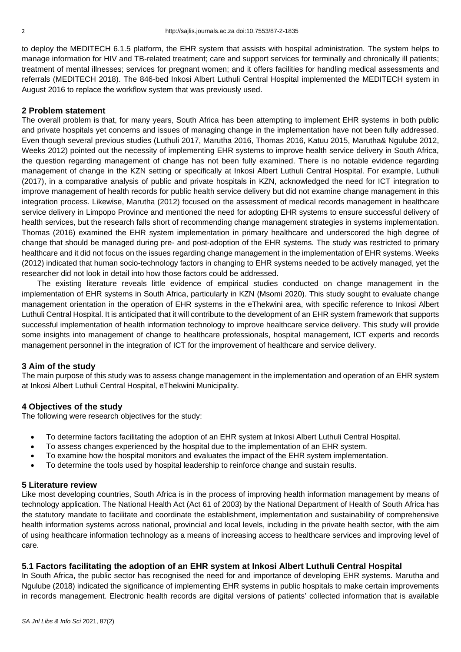to deploy the MEDITECH 6.1.5 platform, the EHR system that assists with hospital administration. The system helps to manage information for HIV and TB-related treatment; care and support services for terminally and chronically ill patients; treatment of mental illnesses; services for pregnant women; and it offers facilities for handling medical assessments and referrals (MEDITECH 2018). The 846-bed Inkosi Albert Luthuli Central Hospital implemented the MEDITECH system in August 2016 to replace the workflow system that was previously used.

#### **2 Problem statement**

The overall problem is that, for many years, South Africa has been attempting to implement EHR systems in both public and private hospitals yet concerns and issues of managing change in the implementation have not been fully addressed. Even though several previous studies (Luthuli 2017, Marutha 2016, Thomas 2016, Katuu 2015, Marutha& Ngulube 2012, Weeks 2012) pointed out the necessity of implementing EHR systems to improve health service delivery in South Africa, the question regarding management of change has not been fully examined. There is no notable evidence regarding management of change in the KZN setting or specifically at Inkosi Albert Luthuli Central Hospital. For example, Luthuli (2017), in a comparative analysis of public and private hospitals in KZN, acknowledged the need for ICT integration to improve management of health records for public health service delivery but did not examine change management in this integration process. Likewise, Marutha (2012) focused on the assessment of medical records management in healthcare service delivery in Limpopo Province and mentioned the need for adopting EHR systems to ensure successful delivery of health services, but the research falls short of recommending change management strategies in systems implementation. Thomas (2016) examined the EHR system implementation in primary healthcare and underscored the high degree of change that should be managed during pre- and post-adoption of the EHR systems. The study was restricted to primary healthcare and it did not focus on the issues regarding change management in the implementation of EHR systems. Weeks (2012) indicated that human socio-technology factors in changing to EHR systems needed to be actively managed, yet the researcher did not look in detail into how those factors could be addressed.

The existing literature reveals little evidence of empirical studies conducted on change management in the implementation of EHR systems in South Africa, particularly in KZN (Msomi 2020). This study sought to evaluate change management orientation in the operation of EHR systems in the eThekwini area, with specific reference to Inkosi Albert Luthuli Central Hospital. It is anticipated that it will contribute to the development of an EHR system framework that supports successful implementation of health information technology to improve healthcare service delivery. This study will provide some insights into management of change to healthcare professionals, hospital management, ICT experts and records management personnel in the integration of ICT for the improvement of healthcare and service delivery.

### **3 Aim of the study**

The main purpose of this study was to assess change management in the implementation and operation of an EHR system at Inkosi Albert Luthuli Central Hospital, eThekwini Municipality.

### **4 Objectives of the study**

The following were research objectives for the study:

- To determine factors facilitating the adoption of an EHR system at Inkosi Albert Luthuli Central Hospital.
- To assess changes experienced by the hospital due to the implementation of an EHR system.
- To examine how the hospital monitors and evaluates the impact of the EHR system implementation.
- To determine the tools used by hospital leadership to reinforce change and sustain results.

#### **5 Literature review**

Like most developing countries, South Africa is in the process of improving health information management by means of technology application. The National Health Act (Act 61 of 2003) by the National Department of Health of South Africa has the statutory mandate to facilitate and coordinate the establishment, implementation and sustainability of comprehensive health information systems across national, provincial and local levels, including in the private health sector, with the aim of using healthcare information technology as a means of increasing access to healthcare services and improving level of care.

# **5.1 Factors facilitating the adoption of an EHR system at Inkosi Albert Luthuli Central Hospital**

In South Africa, the public sector has recognised the need for and importance of developing EHR systems. Marutha and Ngulube (2018) indicated the significance of implementing EHR systems in public hospitals to make certain improvements in records management. Electronic health records are digital versions of patients' collected information that is available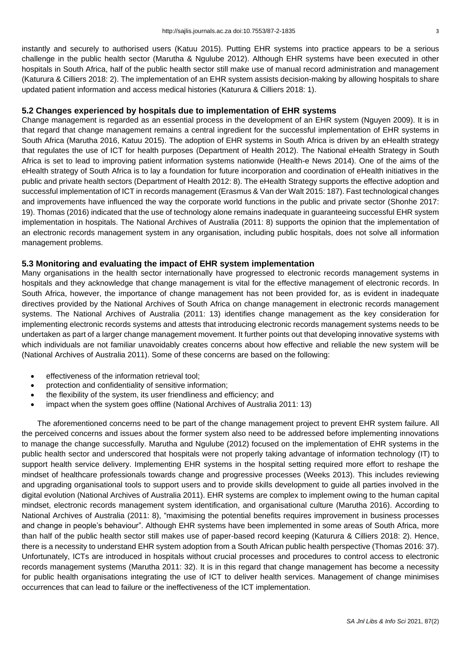instantly and securely to authorised users (Katuu 2015). Putting EHR systems into practice appears to be a serious challenge in the public health sector (Marutha & Ngulube 2012). Although EHR systems have been executed in other hospitals in South Africa, half of the public health sector still make use of manual record administration and management (Katurura & Cilliers 2018: 2). The implementation of an EHR system assists decision-making by allowing hospitals to share updated patient information and access medical histories (Katurura & Cilliers 2018: 1).

# **5.2 Changes experienced by hospitals due to implementation of EHR systems**

Change management is regarded as an essential process in the development of an EHR system (Nguyen 2009). It is in that regard that change management remains a central ingredient for the successful implementation of EHR systems in South Africa (Marutha 2016, Katuu 2015). The adoption of EHR systems in South Africa is driven by an eHealth strategy that regulates the use of ICT for health purposes (Department of Health 2012). The National eHealth Strategy in South Africa is set to lead to improving patient information systems nationwide (Health-e News 2014). One of the aims of the eHealth strategy of South Africa is to lay a foundation for future incorporation and coordination of eHealth initiatives in the public and private health sectors (Department of Health 2012: 8). The eHealth Strategy supports the effective adoption and successful implementation of ICT in records management (Erasmus & Van der Walt 2015: 187). Fast technological changes and improvements have influenced the way the corporate world functions in the public and private sector (Shonhe 2017: 19). Thomas (2016) indicated that the use of technology alone remains inadequate in guaranteeing successful EHR system implementation in hospitals. The National Archives of Australia (2011: 8) supports the opinion that the implementation of an electronic records management system in any organisation, including public hospitals, does not solve all information management problems.

### **5.3 Monitoring and evaluating the impact of EHR system implementation**

Many organisations in the health sector internationally have progressed to electronic records management systems in hospitals and they acknowledge that change management is vital for the effective management of electronic records. In South Africa, however, the importance of change management has not been provided for, as is evident in inadequate directives provided by the National Archives of South Africa on change management in electronic records management systems. The National Archives of Australia (2011: 13) identifies change management as the key consideration for implementing electronic records systems and attests that introducing electronic records management systems needs to be undertaken as part of a larger change management movement. It further points out that developing innovative systems with which individuals are not familiar unavoidably creates concerns about how effective and reliable the new system will be (National Archives of Australia 2011). Some of these concerns are based on the following:

- effectiveness of the information retrieval tool:
- protection and confidentiality of sensitive information;
- the flexibility of the system, its user friendliness and efficiency; and
- impact when the system goes offline (National Archives of Australia 2011: 13)

The aforementioned concerns need to be part of the change management project to prevent EHR system failure. All the perceived concerns and issues about the former system also need to be addressed before implementing innovations to manage the change successfully. Marutha and Ngulube (2012) focused on the implementation of EHR systems in the public health sector and underscored that hospitals were not properly taking advantage of information technology (IT) to support health service delivery. Implementing EHR systems in the hospital setting required more effort to reshape the mindset of healthcare professionals towards change and progressive processes (Weeks 2013). This includes reviewing and upgrading organisational tools to support users and to provide skills development to guide all parties involved in the digital evolution (National Archives of Australia 2011). EHR systems are complex to implement owing to the human capital mindset, electronic records management system identification, and organisational culture (Marutha 2016). According to National Archives of Australia (2011: 8), "maximising the potential benefits requires improvement in business processes and change in people's behaviour". Although EHR systems have been implemented in some areas of South Africa, more than half of the public health sector still makes use of paper-based record keeping (Katurura & Cilliers 2018: 2). Hence, there is a necessity to understand EHR system adoption from a South African public health perspective (Thomas 2016: 37). Unfortunately, ICTs are introduced in hospitals without crucial processes and procedures to control access to electronic records management systems (Marutha 2011: 32). It is in this regard that change management has become a necessity for public health organisations integrating the use of ICT to deliver health services. Management of change minimises occurrences that can lead to failure or the ineffectiveness of the ICT implementation.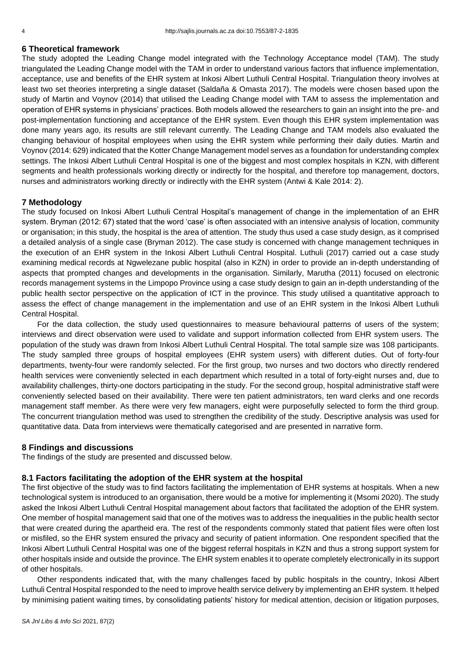### **6 Theoretical framework**

The study adopted the Leading Change model integrated with the Technology Acceptance model (TAM). The study triangulated the Leading Change model with the TAM in order to understand various factors that influence implementation, acceptance, use and benefits of the EHR system at Inkosi Albert Luthuli Central Hospital. Triangulation theory involves at least two set theories interpreting a single dataset (Saldaña & Omasta 2017). The models were chosen based upon the study of Martin and Voynov (2014) that utilised the Leading Change model with TAM to assess the implementation and operation of EHR systems in physicians' practices. Both models allowed the researchers to gain an insight into the pre- and post-implementation functioning and acceptance of the EHR system. Even though this EHR system implementation was done many years ago, its results are still relevant currently. The Leading Change and TAM models also evaluated the changing behaviour of hospital employees when using the EHR system while performing their daily duties. Martin and Voynov (2014: 629) indicated that the Kotter Change Management model serves as a foundation for understanding complex settings. The Inkosi Albert Luthuli Central Hospital is one of the biggest and most complex hospitals in KZN, with different segments and health professionals working directly or indirectly for the hospital, and therefore top management, doctors, nurses and administrators working directly or indirectly with the EHR system (Antwi & Kale 2014: 2).

#### **7 Methodology**

The study focused on Inkosi Albert Luthuli Central Hospital's management of change in the implementation of an EHR system. Bryman (2012: 67) stated that the word 'case' is often associated with an intensive analysis of location, community or organisation; in this study, the hospital is the area of attention. The study thus used a case study design, as it comprised a detailed analysis of a single case (Bryman 2012). The case study is concerned with change management techniques in the execution of an EHR system in the Inkosi Albert Luthuli Central Hospital. Luthuli (2017) carried out a case study examining medical records at Ngwelezane public hospital (also in KZN) in order to provide an in-depth understanding of aspects that prompted changes and developments in the organisation. Similarly, Marutha (2011) focused on electronic records management systems in the Limpopo Province using a case study design to gain an in-depth understanding of the public health sector perspective on the application of ICT in the province. This study utilised a quantitative approach to assess the effect of change management in the implementation and use of an EHR system in the Inkosi Albert Luthuli Central Hospital.

For the data collection, the study used questionnaires to measure behavioural patterns of users of the system; interviews and direct observation were used to validate and support information collected from EHR system users. The population of the study was drawn from Inkosi Albert Luthuli Central Hospital. The total sample size was 108 participants. The study sampled three groups of hospital employees (EHR system users) with different duties. Out of forty-four departments, twenty-four were randomly selected. For the first group, two nurses and two doctors who directly rendered health services were conveniently selected in each department which resulted in a total of forty-eight nurses and, due to availability challenges, thirty-one doctors participating in the study. For the second group, hospital administrative staff were conveniently selected based on their availability. There were ten patient administrators, ten ward clerks and one records management staff member. As there were very few managers, eight were purposefully selected to form the third group. The concurrent triangulation method was used to strengthen the credibility of the study. Descriptive analysis was used for quantitative data. Data from interviews were thematically categorised and are presented in narrative form.

#### **8 Findings and discussions**

The findings of the study are presented and discussed below.

### **8.1 Factors facilitating the adoption of the EHR system at the hospital**

The first objective of the study was to find factors facilitating the implementation of EHR systems at hospitals. When a new technological system is introduced to an organisation, there would be a motive for implementing it (Msomi 2020). The study asked the Inkosi Albert Luthuli Central Hospital management about factors that facilitated the adoption of the EHR system. One member of hospital management said that one of the motives was to address the inequalities in the public health sector that were created during the apartheid era. The rest of the respondents commonly stated that patient files were often lost or misfiled, so the EHR system ensured the privacy and security of patient information. One respondent specified that the Inkosi Albert Luthuli Central Hospital was one of the biggest referral hospitals in KZN and thus a strong support system for other hospitals inside and outside the province. The EHR system enables it to operate completely electronically in its support of other hospitals.

Other respondents indicated that, with the many challenges faced by public hospitals in the country, Inkosi Albert Luthuli Central Hospital responded to the need to improve health service delivery by implementing an EHR system. It helped by minimising patient waiting times, by consolidating patients' history for medical attention, decision or litigation purposes,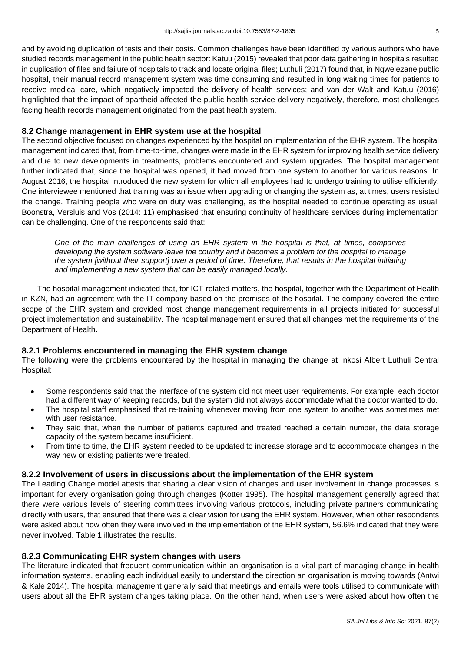and by avoiding duplication of tests and their costs. Common challenges have been identified by various authors who have studied records management in the public health sector: Katuu (2015) revealed that poor data gathering in hospitals resulted in duplication of files and failure of hospitals to track and locate original files; Luthuli (2017) found that, in Ngwelezane public hospital, their manual record management system was time consuming and resulted in long waiting times for patients to receive medical care, which negatively impacted the delivery of health services; and van der Walt and Katuu (2016) highlighted that the impact of apartheid affected the public health service delivery negatively, therefore, most challenges facing health records management originated from the past health system.

# **8.2 Change management in EHR system use at the hospital**

The second objective focused on changes experienced by the hospital on implementation of the EHR system. The hospital management indicated that, from time-to-time, changes were made in the EHR system for improving health service delivery and due to new developments in treatments, problems encountered and system upgrades. The hospital management further indicated that, since the hospital was opened, it had moved from one system to another for various reasons. In August 2016, the hospital introduced the new system for which all employees had to undergo training to utilise efficiently. One interviewee mentioned that training was an issue when upgrading or changing the system as, at times, users resisted the change. Training people who were on duty was challenging, as the hospital needed to continue operating as usual. Boonstra, Versluis and Vos (2014: 11) emphasised that ensuring continuity of healthcare services during implementation can be challenging. One of the respondents said that:

*One of the main challenges of using an EHR system in the hospital is that, at times, companies developing the system software leave the country and it becomes a problem for the hospital to manage the system [without their support] over a period of time. Therefore, that results in the hospital initiating and implementing a new system that can be easily managed locally.*

The hospital management indicated that, for ICT-related matters, the hospital, together with the Department of Health in KZN, had an agreement with the IT company based on the premises of the hospital. The company covered the entire scope of the EHR system and provided most change management requirements in all projects initiated for successful project implementation and sustainability. The hospital management ensured that all changes met the requirements of the Department of Health**.**

# **8.2.1 Problems encountered in managing the EHR system change**

The following were the problems encountered by the hospital in managing the change at Inkosi Albert Luthuli Central Hospital:

- Some respondents said that the interface of the system did not meet user requirements. For example, each doctor had a different way of keeping records, but the system did not always accommodate what the doctor wanted to do.
- The hospital staff emphasised that re-training whenever moving from one system to another was sometimes met with user resistance.
- They said that, when the number of patients captured and treated reached a certain number, the data storage capacity of the system became insufficient.
- From time to time, the EHR system needed to be updated to increase storage and to accommodate changes in the way new or existing patients were treated.

# **8.2.2 Involvement of users in discussions about the implementation of the EHR system**

The Leading Change model attests that sharing a clear vision of changes and user involvement in change processes is important for every organisation going through changes (Kotter 1995). The hospital management generally agreed that there were various levels of steering committees involving various protocols, including private partners communicating directly with users, that ensured that there was a clear vision for using the EHR system. However, when other respondents were asked about how often they were involved in the implementation of the EHR system, 56.6% indicated that they were never involved. Table 1 illustrates the results.

# **8.2.3 Communicating EHR system changes with users**

The literature indicated that frequent communication within an organisation is a vital part of managing change in health information systems, enabling each individual easily to understand the direction an organisation is moving towards (Antwi & Kale 2014). The hospital management generally said that meetings and emails were tools utilised to communicate with users about all the EHR system changes taking place. On the other hand, when users were asked about how often the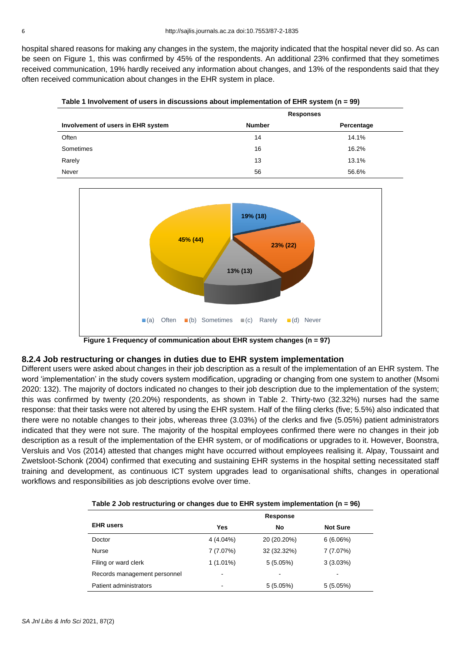hospital shared reasons for making any changes in the system, the majority indicated that the hospital never did so. As can be seen on Figure 1, this was confirmed by 45% of the respondents. An additional 23% confirmed that they sometimes received communication, 19% hardly received any information about changes, and 13% of the respondents said that they often received communication about changes in the EHR system in place.

|  | Table 1 Involvement of users in discussions about implementation of EHR system (n = 99) |  |  |
|--|-----------------------------------------------------------------------------------------|--|--|
|  |                                                                                         |  |  |

|                                    | <b>Responses</b> |            |  |
|------------------------------------|------------------|------------|--|
| Involvement of users in EHR system | <b>Number</b>    | Percentage |  |
| Often                              | 14               | 14.1%      |  |
| Sometimes                          | 16               | 16.2%      |  |
| Rarely                             | 13               | 13.1%      |  |
| Never                              | 56               | 56.6%      |  |



**Figure 1 Frequency of communication about EHR system changes (n = 97)**

# **8.2.4 Job restructuring or changes in duties due to EHR system implementation**

Different users were asked about changes in their job description as a result of the implementation of an EHR system. The word 'implementation' in the study covers system modification, upgrading or changing from one system to another (Msomi 2020: 132). The majority of doctors indicated no changes to their job description due to the implementation of the system; this was confirmed by twenty (20.20%) respondents, as shown in Table 2. Thirty-two (32.32%) nurses had the same response: that their tasks were not altered by using the EHR system. Half of the filing clerks (five; 5.5%) also indicated that there were no notable changes to their jobs, whereas three (3.03%) of the clerks and five (5.05%) patient administrators indicated that they were not sure. The majority of the hospital employees confirmed there were no changes in their job description as a result of the implementation of the EHR system, or of modifications or upgrades to it. However, Boonstra, Versluis and Vos (2014) attested that changes might have occurred without employees realising it. Alpay, Toussaint and Zwetsloot-Schonk (2004) confirmed that executing and sustaining EHR systems in the hospital setting necessitated staff training and development, as continuous ICT system upgrades lead to organisational shifts, changes in operational workflows and responsibilities as job descriptions evolve over time.

|                              | <b>Response</b>          |             |                 |  |  |
|------------------------------|--------------------------|-------------|-----------------|--|--|
| <b>EHR</b> users             | Yes                      | No          | <b>Not Sure</b> |  |  |
| Doctor                       | $4(4.04\%)$              | 20 (20.20%) | 6(6.06%)        |  |  |
| Nurse                        | 7(7.07%)                 | 32 (32.32%) | 7(7.07%)        |  |  |
| Filing or ward clerk         | $1(1.01\%)$              | $5(5.05\%)$ | 3(3.03%)        |  |  |
| Records management personnel | $\blacksquare$           | ۰           |                 |  |  |
| Patient administrators       | $\overline{\phantom{0}}$ | 5(5.05%)    | 5(5.05%)        |  |  |

| Table 2 Job restructuring or changes due to EHR system implementation ( $n = 96$ ) |  |
|------------------------------------------------------------------------------------|--|
|------------------------------------------------------------------------------------|--|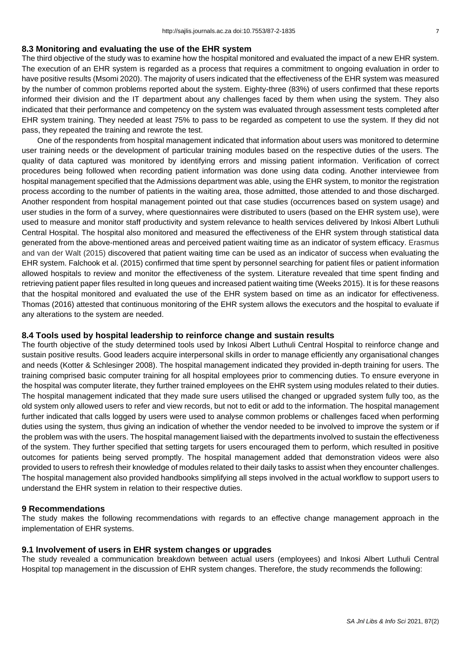### **8.3 Monitoring and evaluating the use of the EHR system**

The third objective of the study was to examine how the hospital monitored and evaluated the impact of a new EHR system. The execution of an EHR system is regarded as a process that requires a commitment to ongoing evaluation in order to have positive results (Msomi 2020). The majority of users indicated that the effectiveness of the EHR system was measured by the number of common problems reported about the system. Eighty-three (83%) of users confirmed that these reports informed their division and the IT department about any challenges faced by them when using the system. They also indicated that their performance and competency on the system was evaluated through assessment tests completed after EHR system training. They needed at least 75% to pass to be regarded as competent to use the system. If they did not pass, they repeated the training and rewrote the test.

One of the respondents from hospital management indicated that information about users was monitored to determine user training needs or the development of particular training modules based on the respective duties of the users. The quality of data captured was monitored by identifying errors and missing patient information. Verification of correct procedures being followed when recording patient information was done using data coding. Another interviewee from hospital management specified that the Admissions department was able, using the EHR system, to monitor the registration process according to the number of patients in the waiting area, those admitted, those attended to and those discharged. Another respondent from hospital management pointed out that case studies (occurrences based on system usage) and user studies in the form of a survey, where questionnaires were distributed to users (based on the EHR system use), were used to measure and monitor staff productivity and system relevance to health services delivered by Inkosi Albert Luthuli Central Hospital. The hospital also monitored and measured the effectiveness of the EHR system through statistical data generated from the above-mentioned areas and perceived patient waiting time as an indicator of system efficacy. Erasmus and van der Walt (2015) discovered that patient waiting time can be used as an indicator of success when evaluating the EHR system. Falchook et al. (2015) confirmed that time spent by personnel searching for patient files or patient information allowed hospitals to review and monitor the effectiveness of the system. Literature revealed that time spent finding and retrieving patient paper files resulted in long queues and increased patient waiting time (Weeks 2015). It is for these reasons that the hospital monitored and evaluated the use of the EHR system based on time as an indicator for effectiveness. Thomas (2016) attested that continuous monitoring of the EHR system allows the executors and the hospital to evaluate if any alterations to the system are needed.

# **8.4 Tools used by hospital leadership to reinforce change and sustain results**

The fourth objective of the study determined tools used by Inkosi Albert Luthuli Central Hospital to reinforce change and sustain positive results. Good leaders acquire interpersonal skills in order to manage efficiently any organisational changes and needs (Kotter & Schlesinger 2008). The hospital management indicated they provided in-depth training for users. The training comprised basic computer training for all hospital employees prior to commencing duties. To ensure everyone in the hospital was computer literate, they further trained employees on the EHR system using modules related to their duties. The hospital management indicated that they made sure users utilised the changed or upgraded system fully too, as the old system only allowed users to refer and view records, but not to edit or add to the information. The hospital management further indicated that calls logged by users were used to analyse common problems or challenges faced when performing duties using the system, thus giving an indication of whether the vendor needed to be involved to improve the system or if the problem was with the users. The hospital management liaised with the departments involved to sustain the effectiveness of the system. They further specified that setting targets for users encouraged them to perform, which resulted in positive outcomes for patients being served promptly. The hospital management added that demonstration videos were also provided to users to refresh their knowledge of modules related to their daily tasks to assist when they encounter challenges. The hospital management also provided handbooks simplifying all steps involved in the actual workflow to support users to understand the EHR system in relation to their respective duties.

### **9 Recommendations**

The study makes the following recommendations with regards to an effective change management approach in the implementation of EHR systems.

### **9.1 Involvement of users in EHR system changes or upgrades**

The study revealed a communication breakdown between actual users (employees) and Inkosi Albert Luthuli Central Hospital top management in the discussion of EHR system changes. Therefore, the study recommends the following: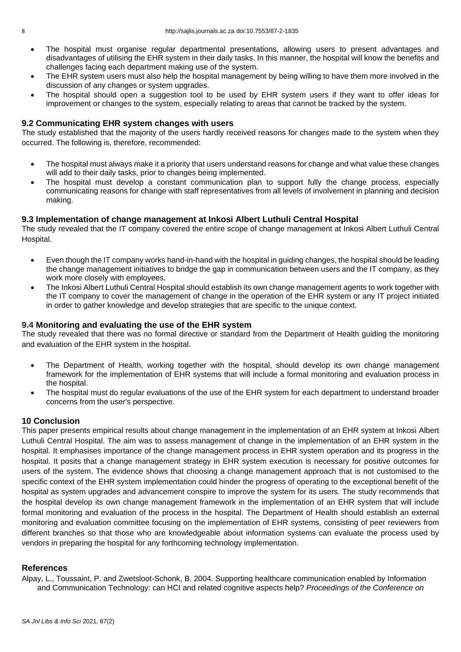- The hospital must organise regular departmental presentations, allowing users to present advantages and disadvantages of utilising the EHR system in their daily tasks. In this manner, the hospital will know the benefits and challenges facing each department making use of the system.
- The EHR system users must also help the hospital management by being willing to have them more involved in the discussion of any changes or system upgrades.
- The hospital should open a suggestion tool to be used by EHR system users if they want to offer ideas for improvement or changes to the system, especially relating to areas that cannot be tracked by the system.

# **9.2 Communicating EHR system changes with users**

The study established that the majority of the users hardly received reasons for changes made to the system when they occurred. The following is, therefore, recommended:

- The hospital must always make it a priority that users understand reasons for change and what value these changes will add to their daily tasks, prior to changes being implemented.
- The hospital must develop a constant communication plan to support fully the change process, especially communicating reasons for change with staff representatives from all levels of involvement in planning and decision making.

# **9.3 Implementation of change management at Inkosi Albert Luthuli Central Hospital**

The study revealed that the IT company covered the entire scope of change management at Inkosi Albert Luthuli Central Hospital.

- Even though the IT company works hand-in-hand with the hospital in guiding changes, the hospital should be leading the change management initiatives to bridge the gap in communication between users and the IT company, as they work more closely with employees.
- The Inkosi Albert Luthuli Central Hospital should establish its own change management agents to work together with the IT company to cover the management of change in the operation of the EHR system or any IT project initiated in order to gather knowledge and develop strategies that are specific to the unique context.

### **9.4 Monitoring and evaluating the use of the EHR system**

The study revealed that there was no formal directive or standard from the Department of Health guiding the monitoring and evaluation of the EHR system in the hospital.

- The Department of Health, working together with the hospital, should develop its own change management framework for the implementation of EHR systems that will include a formal monitoring and evaluation process in the hospital.
- The hospital must do regular evaluations of the use of the EHR system for each department to understand broader concerns from the user's perspective.

# **10 Conclusion**

This paper presents empirical results about change management in the implementation of an EHR system at Inkosi Albert Luthuli Central Hospital. The aim was to assess management of change in the implementation of an EHR system in the hospital. It emphasises importance of the change management process in EHR system operation and its progress in the hospital. It posits that a change management strategy in EHR system execution is necessary for positive outcomes for users of the system. The evidence shows that choosing a change management approach that is not customised to the specific context of the EHR system implementation could hinder the progress of operating to the exceptional benefit of the hospital as system upgrades and advancement conspire to improve the system for its users. The study recommends that the hospital develop its own change management framework in the implementation of an EHR system that will include formal monitoring and evaluation of the process in the hospital. The Department of Health should establish an external monitoring and evaluation committee focusing on the implementation of EHR systems, consisting of peer reviewers from different branches so that those who are knowledgeable about information systems can evaluate the process used by vendors in preparing the hospital for any forthcoming technology implementation.

# **References**

Alpay, L., Toussaint, P. and Zwetsloot-Schonk, B. 2004. Supporting healthcare communication enabled by Information and Communication Technology: can HCI and related cognitive aspects help? *Proceedings of the Conference on*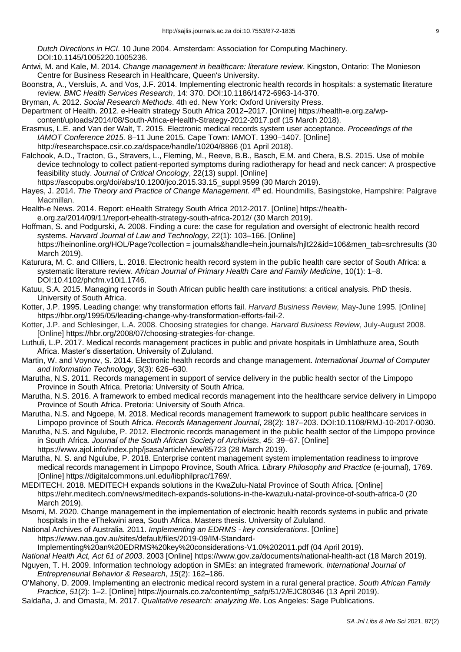*Dutch Directions in HCI*. 10 June 2004. Amsterdam: Association for Computing Machinery. DOI:10.1145/1005220.1005236.

- Antwi, M. and Kale, M. 2014. *Change management in healthcare: literature review*. Kingston, Ontario: The Monieson Centre for Business Research in Healthcare, Queen's University.
- Boonstra, A., Versluis, A. and Vos, J.F. 2014. Implementing electronic health records in hospitals: a systematic literature review. *BMC Health Services Research*, 14: 370. DOI:10.1186/1472-6963-14-370.
- Bryman, A. 2012. *Social Research Methods*. 4th ed. New York: Oxford University Press.
- Department of Health. 2012. e-Health strategy South Africa 2012–2017. [Online] https://health-e.org.za/wpcontent/uploads/2014/08/South-Africa-eHealth-Strategy-2012-2017.pdf (15 March 2018).
- Erasmus, L.E. and Van der Walt, T. 2015. Electronic medical records system user acceptance. *Proceedings of the IAMOT Conference 2015.* 8–11 June 2015*.* Cape Town: IAMOT. 1390–1407. [Online] http://researchspace.csir.co.za/dspace/handle/10204/8866 (01 April 2018).
- Falchook, A.D., Tracton, G., Stravers, L., Fleming, M., Reeve, B.B., Basch, E.M. and Chera, B.S. 2015. Use of mobile device technology to collect patient-reported symptoms during radiotherapy for head and neck cancer: A prospective feasibility study. *Journal of Critical Oncology*, 22(13) suppl. [Online] https://ascopubs.org/doi/abs/10.1200/jco.2015.33.15\_suppl.9599 (30 March 2019).
- Hayes, J. 2014. *The Theory and Practice of Change Management*. 4<sup>th</sup> ed. Houndmills, Basingstoke, Hampshire: Palgrave Macmillan.
- Health-e News. 2014. Report: eHealth Strategy South Africa 2012-2017. [Online] https://health-

e.org.za/2014/09/11/report-ehealth-strategy-south-africa-2012/ (30 March 2019).

- Hoffman, S. and Podgurski, A. 2008. Finding a cure: the case for regulation and oversight of electronic health record systems. *Harvard Journal of Law and Technology,* 22(1): 103–166. [Online] https://heinonline.org/HOL/Page?collection = journals&handle=hein.journals/hjlt22&id=106&men\_tab=srchresults (30 March 2019).
- Katurura, M. C. and Cilliers, L. 2018. Electronic health record system in the public health care sector of South Africa: a systematic literature review. *African Journal of Primary Health Care and Family Medicine*, 10(1): 1–8. DOI:10.4102/phcfm.v10i1.1746.
- Katuu, S.A. 2015. Managing records in South African public health care institutions: a critical analysis. PhD thesis. University of South Africa.
- Kotter, J.P. 1995. Leading change: why transformation efforts fail. *Harvard Business Review,* May-June 1995. [Online] https://hbr.org/1995/05/leading-change-why-transformation-efforts-fail-2.
- Kotter, J.P. and Schlesinger, L.A. 2008. Choosing strategies for change. *Harvard Business Review*, July-August 2008. [Online] https://hbr.org/2008/07/choosing-strategies-for-change.
- Luthuli, L.P. 2017. Medical records management practices in public and private hospitals in Umhlathuze area, South Africa. Master's dissertation. University of Zululand.
- Martin, W. and Voynov, S. 2014. Electronic health records and change management. *International Journal of Computer and Information Technology*, 3(3): 626–630.
- Marutha, N.S. 2011. Records management in support of service delivery in the public health sector of the Limpopo Province in South Africa. Pretoria: University of South Africa.
- Marutha, N.S. 2016. A framework to embed medical records management into the healthcare service delivery in Limpopo Province of South Africa. Pretoria: University of South Africa.
- Marutha, N.S. and Ngoepe, M. 2018. Medical records management framework to support public healthcare services in Limpopo province of South Africa. *Records Management Journal*, 28(2): 187–203. DOI:10.1108/RMJ-10-2017-0030.
- Marutha, N.S. and Ngulube, P. 2012. Electronic records management in the public health sector of the Limpopo province in South Africa. *Journal of the South African Society of Archivists*, *45*: 39–67. [Online]
- https://www.ajol.info/index.php/jsasa/article/view/85723 (28 March 2019).
- Marutha, N. S. and Ngulube, P. 2018. Enterprise content management system implementation readiness to improve medical records management in Limpopo Province, South Africa. *Library Philosophy and Practice* (e-journal), 1769. [Online] https://digitalcommons.unl.edu/libphilprac/1769/.
- MEDITECH. 2018. MEDITECH expands solutions in the KwaZulu-Natal Province of South Africa. [Online] https://ehr.meditech.com/news/meditech-expands-solutions-in-the-kwazulu-natal-province-of-south-africa-0 (20 March 2019).
- Msomi, M. 2020. Change management in the implementation of electronic health records systems in public and private hospitals in the eThekwini area, South Africa. Masters thesis. University of Zululand.
- National Archives of Australia. 2011. *Implementing an EDRMS - key considerations*. [Online] https://www.naa.gov.au/sites/default/files/2019-09/IM-Standard-

Implementing%20an%20EDRMS%20key%20considerations-V1.0%202011.pdf (04 April 2019).

- *National Health Act, Act 61 of 2003*. 2003 [Online] https://www.gov.za/documents/national-health-act (18 March 2019).
- Nguyen, T. H. 2009. Information technology adoption in SMEs: an integrated framework. *International Journal of Entrepreneurial Behavior & Research*, *15*(2): 162–186.
- O'Mahony, D. 2009. Implementing an electronic medical record system in a rural general practice. *South African Family Practice*, *51*(2): 1–2. [Online] https://journals.co.za/content/mp\_safp/51/2/EJC80346 (13 April 2019).
- Saldaña, J. and Omasta, M. 2017. *Qualitative research: analyzing life*. Los Angeles: Sage Publications.